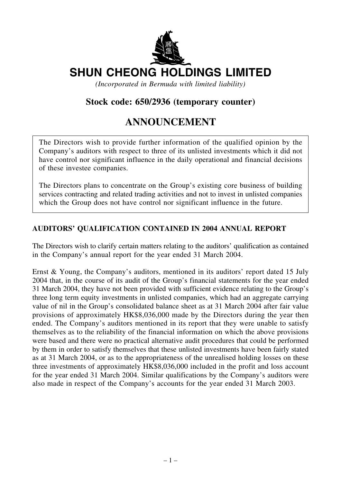

# **SHUN CHEONG HOLDINGS LIMITED**

*(Incorporated in Bermuda with limited liability)*

### **Stock code: 650/2936 (temporary counter)**

## **ANNOUNCEMENT**

The Directors wish to provide further information of the qualified opinion by the Company's auditors with respect to three of its unlisted investments which it did not have control nor significant influence in the daily operational and financial decisions of these investee companies.

The Directors plans to concentrate on the Group's existing core business of building services contracting and related trading activities and not to invest in unlisted companies which the Group does not have control nor significant influence in the future.

#### **AUDITORS' QUALIFICATION CONTAINED IN 2004 ANNUAL REPORT**

The Directors wish to clarify certain matters relating to the auditors' qualification as contained in the Company's annual report for the year ended 31 March 2004.

Ernst & Young, the Company's auditors, mentioned in its auditors' report dated 15 July 2004 that, in the course of its audit of the Group's financial statements for the year ended 31 March 2004, they have not been provided with sufficient evidence relating to the Group's three long term equity investments in unlisted companies, which had an aggregate carrying value of nil in the Group's consolidated balance sheet as at 31 March 2004 after fair value provisions of approximately HK\$8,036,000 made by the Directors during the year then ended. The Company's auditors mentioned in its report that they were unable to satisfy themselves as to the reliability of the financial information on which the above provisions were based and there were no practical alternative audit procedures that could be performed by them in order to satisfy themselves that these unlisted investments have been fairly stated as at 31 March 2004, or as to the appropriateness of the unrealised holding losses on these three investments of approximately HK\$8,036,000 included in the profit and loss account for the year ended 31 March 2004. Similar qualifications by the Company's auditors were also made in respect of the Company's accounts for the year ended 31 March 2003.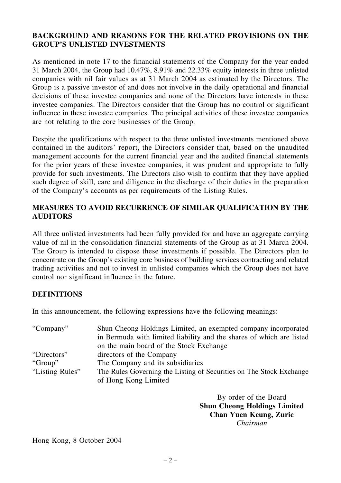#### **BACKGROUND AND REASONS FOR THE RELATED PROVISIONS ON THE GROUP'S UNLISTED INVESTMENTS**

As mentioned in note 17 to the financial statements of the Company for the year ended 31 March 2004, the Group had 10.47%, 8.91% and 22.33% equity interests in three unlisted companies with nil fair values as at 31 March 2004 as estimated by the Directors. The Group is a passive investor of and does not involve in the daily operational and financial decisions of these investee companies and none of the Directors have interests in these investee companies. The Directors consider that the Group has no control or significant influence in these investee companies. The principal activities of these investee companies are not relating to the core businesses of the Group.

Despite the qualifications with respect to the three unlisted investments mentioned above contained in the auditors' report, the Directors consider that, based on the unaudited management accounts for the current financial year and the audited financial statements for the prior years of these investee companies, it was prudent and appropriate to fully provide for such investments. The Directors also wish to confirm that they have applied such degree of skill, care and diligence in the discharge of their duties in the preparation of the Company's accounts as per requirements of the Listing Rules.

#### **MEASURES TO AVOID RECURRENCE OF SIMILAR QUALIFICATION BY THE AUDITORS**

All three unlisted investments had been fully provided for and have an aggregate carrying value of nil in the consolidation financial statements of the Group as at 31 March 2004. The Group is intended to dispose these investments if possible. The Directors plan to concentrate on the Group's existing core business of building services contracting and related trading activities and not to invest in unlisted companies which the Group does not have control nor significant influence in the future.

#### **DEFINITIONS**

In this announcement, the following expressions have the following meanings:

| Shun Cheong Holdings Limited, an exempted company incorporated<br>in Bermuda with limited liability and the shares of which are listed |
|----------------------------------------------------------------------------------------------------------------------------------------|
| on the main board of the Stock Exchange                                                                                                |
| directors of the Company                                                                                                               |
| The Company and its subsidiaries                                                                                                       |
| The Rules Governing the Listing of Securities on The Stock Exchange<br>of Hong Kong Limited                                            |
|                                                                                                                                        |

By order of the Board **Shun Cheong Holdings Limited Chan Yuen Keung, Zuric** *Chairman*

Hong Kong, 8 October 2004